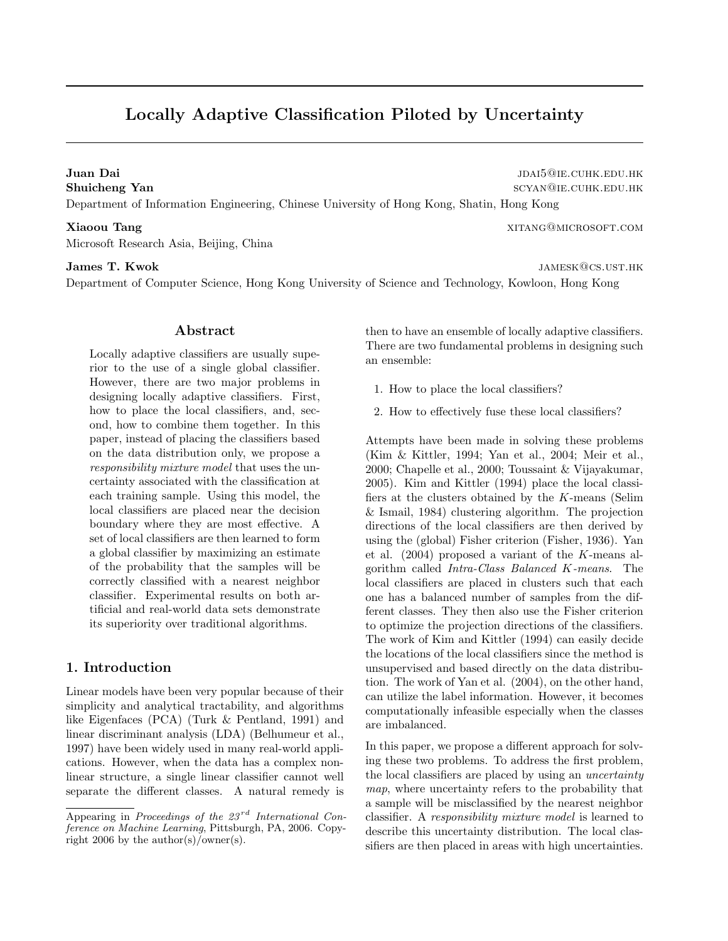# Locally Adaptive Classification Piloted by Uncertainty

Juan Dai jaun Baikan jaun 1999. Suuri kaudud ja korraalisest valta ja valta valta valta valta valta valta valta valta valta valta valta valta valta valta valta valta valta valta valta valta valta valta valta valta valta va Shuicheng Yan scyan@ie.cuHK.edu.hk Department of Information Engineering, Chinese University of Hong Kong, Shatin, Hong Kong

Microsoft Research Asia, Beijing, China

#### James T. Kwok james T. Kwok jamesk@cs.ust.hk

Department of Computer Science, Hong Kong University of Science and Technology, Kowloon, Hong Kong

#### Abstract

Locally adaptive classifiers are usually superior to the use of a single global classifier. However, there are two major problems in designing locally adaptive classifiers. First, how to place the local classifiers, and, second, how to combine them together. In this paper, instead of placing the classifiers based on the data distribution only, we propose a responsibility mixture model that uses the uncertainty associated with the classification at each training sample. Using this model, the local classifiers are placed near the decision boundary where they are most effective. A set of local classifiers are then learned to form a global classifier by maximizing an estimate of the probability that the samples will be correctly classified with a nearest neighbor classifier. Experimental results on both artificial and real-world data sets demonstrate its superiority over traditional algorithms.

# 1. Introduction

Linear models have been very popular because of their simplicity and analytical tractability, and algorithms like Eigenfaces (PCA) (Turk & Pentland, 1991) and linear discriminant analysis (LDA) (Belhumeur et al., 1997) have been widely used in many real-world applications. However, when the data has a complex nonlinear structure, a single linear classifier cannot well separate the different classes. A natural remedy is then to have an ensemble of locally adaptive classifiers. There are two fundamental problems in designing such an ensemble:

- 1. How to place the local classifiers?
- 2. How to effectively fuse these local classifiers?

Attempts have been made in solving these problems (Kim & Kittler, 1994; Yan et al., 2004; Meir et al., 2000; Chapelle et al., 2000; Toussaint & Vijayakumar, 2005). Kim and Kittler (1994) place the local classifiers at the clusters obtained by the K-means (Selim & Ismail, 1984) clustering algorithm. The projection directions of the local classifiers are then derived by using the (global) Fisher criterion (Fisher, 1936). Yan et al. (2004) proposed a variant of the K-means algorithm called Intra-Class Balanced K-means. The local classifiers are placed in clusters such that each one has a balanced number of samples from the different classes. They then also use the Fisher criterion to optimize the projection directions of the classifiers. The work of Kim and Kittler (1994) can easily decide the locations of the local classifiers since the method is unsupervised and based directly on the data distribution. The work of Yan et al. (2004), on the other hand, can utilize the label information. However, it becomes computationally infeasible especially when the classes are imbalanced.

In this paper, we propose a different approach for solving these two problems. To address the first problem, the local classifiers are placed by using an *uncertainty* map, where uncertainty refers to the probability that a sample will be misclassified by the nearest neighbor classifier. A responsibility mixture model is learned to describe this uncertainty distribution. The local classifiers are then placed in areas with high uncertainties.

Xiaoou Tang xitang xitang xitang xitang xitang xitang xitang xitang xitang xitang xitang xitang xitang xitang xitang xitang xitang xitang xitang xitang xitang xitang xitang xitang xitang xitang xitang xitang xitang xitang

Appearing in Proceedings of the  $23^{rd}$  International Conference on Machine Learning, Pittsburgh, PA, 2006. Copyright 2006 by the author(s)/owner(s).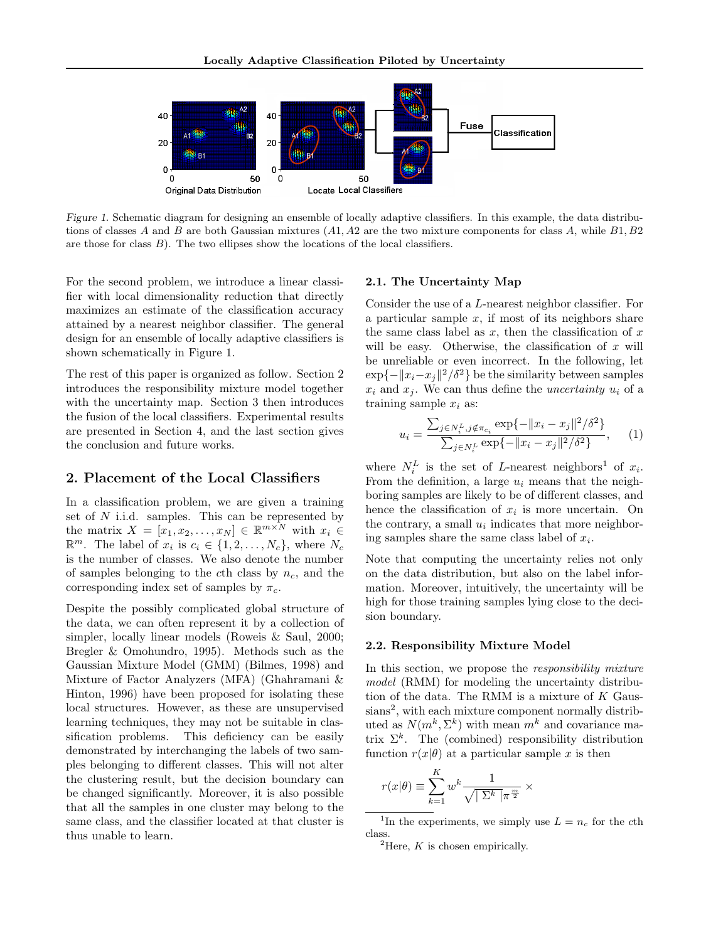

Figure 1. Schematic diagram for designing an ensemble of locally adaptive classifiers. In this example, the data distributions of classes A and B are both Gaussian mixtures  $(A1, A2)$  are the two mixture components for class A, while  $B1, B2$ are those for class  $B$ ). The two ellipses show the locations of the local classifiers.

For the second problem, we introduce a linear classifier with local dimensionality reduction that directly maximizes an estimate of the classification accuracy attained by a nearest neighbor classifier. The general design for an ensemble of locally adaptive classifiers is shown schematically in Figure 1.

The rest of this paper is organized as follow. Section 2 introduces the responsibility mixture model together with the uncertainty map. Section 3 then introduces the fusion of the local classifiers. Experimental results are presented in Section 4, and the last section gives the conclusion and future works.

### 2. Placement of the Local Classifiers

In a classification problem, we are given a training set of  $N$  i.i.d. samples. This can be represented by the matrix  $X = [x_1, x_2, \dots, x_N] \in \mathbb{R}^{m \times N}$  with  $x_i \in$  $\mathbb{R}^m$ . The label of  $x_i$  is  $c_i \in \{1, 2, \ldots, N_c\}$ , where  $N_c$ is the number of classes. We also denote the number of samples belonging to the cth class by  $n_c$ , and the corresponding index set of samples by  $\pi_c$ .

Despite the possibly complicated global structure of the data, we can often represent it by a collection of simpler, locally linear models (Roweis & Saul, 2000; Bregler & Omohundro, 1995). Methods such as the Gaussian Mixture Model (GMM) (Bilmes, 1998) and Mixture of Factor Analyzers (MFA) (Ghahramani & Hinton, 1996) have been proposed for isolating these local structures. However, as these are unsupervised learning techniques, they may not be suitable in classification problems. This deficiency can be easily demonstrated by interchanging the labels of two samples belonging to different classes. This will not alter the clustering result, but the decision boundary can be changed significantly. Moreover, it is also possible that all the samples in one cluster may belong to the same class, and the classifier located at that cluster is thus unable to learn.

#### 2.1. The Uncertainty Map

Consider the use of a L-nearest neighbor classifier. For a particular sample  $x$ , if most of its neighbors share the same class label as  $x$ , then the classification of  $x$ will be easy. Otherwise, the classification of  $x$  will be unreliable or even incorrect. In the following, let  $\exp\{-\|x_i-x_j\|^2/\delta^2\}$  be the similarity between samples  $x_i$  and  $x_j$ . We can thus define the *uncertainty*  $u_i$  of a training sample  $x_i$  as:

$$
u_i = \frac{\sum_{j \in N_i^L, j \notin \pi_{c_i}} \exp\{-\|x_i - x_j\|^2 / \delta^2\}}{\sum_{j \in N_i^L} \exp\{-\|x_i - x_j\|^2 / \delta^2\}}, \quad (1)
$$

where  $N_i^L$  is the set of L-nearest neighbors<sup>1</sup> of  $x_i$ . From the definition, a large  $u_i$  means that the neighboring samples are likely to be of different classes, and hence the classification of  $x_i$  is more uncertain. On the contrary, a small  $u_i$  indicates that more neighboring samples share the same class label of  $x_i$ .

Note that computing the uncertainty relies not only on the data distribution, but also on the label information. Moreover, intuitively, the uncertainty will be high for those training samples lying close to the decision boundary.

#### 2.2. Responsibility Mixture Model

In this section, we propose the *responsibility mixture* model (RMM) for modeling the uncertainty distribution of the data. The RMM is a mixture of  $K$  Gaussians<sup>2</sup>, with each mixture component normally distributed as  $N(m^k, \Sigma^k)$  with mean  $m^k$  and covariance matrix  $\Sigma^k$ . The (combined) responsibility distribution function  $r(x|\theta)$  at a particular sample x is then

$$
r(x|\theta) \equiv \sum_{k=1}^K w^k \frac{1}{\sqrt{|\Sigma^k|} \pi^{\frac{m}{2}}} \times
$$

<sup>&</sup>lt;sup>1</sup>In the experiments, we simply use  $L = n_c$  for the cth class.

<sup>&</sup>lt;sup>2</sup>Here,  $K$  is chosen empirically.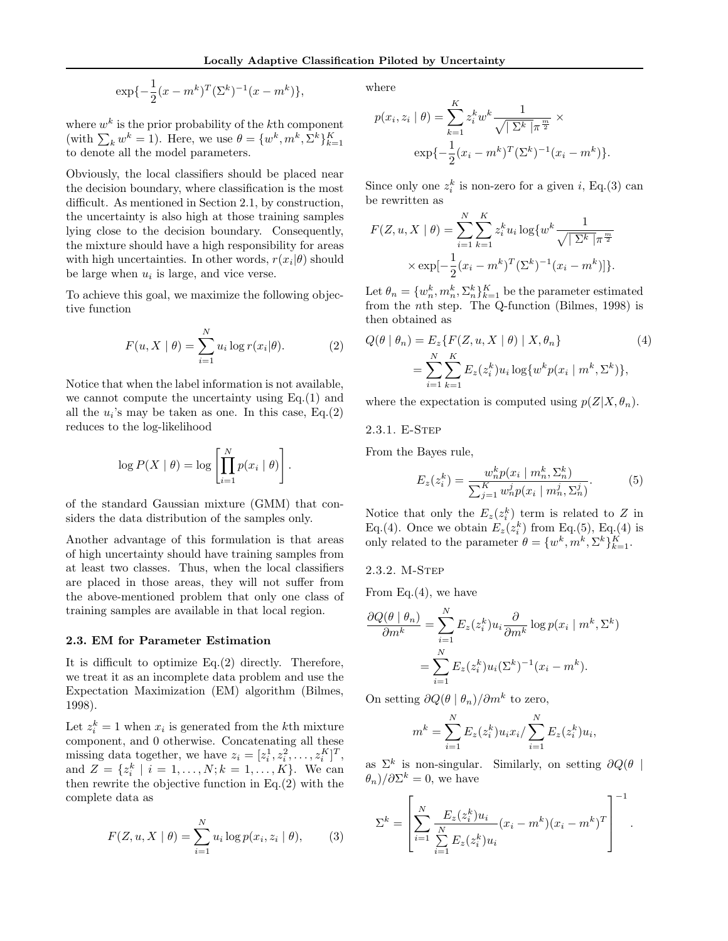$$
\exp\{-\frac{1}{2}(x - m^k)^T (\Sigma^k)^{-1}(x - m^k)\},\
$$

where  $w^k$  is the prior probability of the k<sup>th</sup> component (with  $\sum_k w^k = 1$ ). Here, we use  $\theta = \{w^k, m^k, \Sigma^k\}_{k=1}^K$ to denote all the model parameters.

Obviously, the local classifiers should be placed near the decision boundary, where classification is the most difficult. As mentioned in Section 2.1, by construction, the uncertainty is also high at those training samples lying close to the decision boundary. Consequently, the mixture should have a high responsibility for areas with high uncertainties. In other words,  $r(x_i|\theta)$  should be large when  $u_i$  is large, and vice verse.

To achieve this goal, we maximize the following objective function

$$
F(u, X \mid \theta) = \sum_{i=1}^{N} u_i \log r(x_i | \theta).
$$
 (2)

Notice that when the label information is not available, we cannot compute the uncertainty using Eq.(1) and all the  $u_i$ 's may be taken as one. In this case, Eq.(2) reduces to the log-likelihood

$$
\log P(X | \theta) = \log \left[ \prod_{i=1}^{N} p(x_i | \theta) \right].
$$

of the standard Gaussian mixture (GMM) that considers the data distribution of the samples only.

Another advantage of this formulation is that areas of high uncertainty should have training samples from at least two classes. Thus, when the local classifiers are placed in those areas, they will not suffer from the above-mentioned problem that only one class of training samples are available in that local region.

#### 2.3. EM for Parameter Estimation

It is difficult to optimize Eq.(2) directly. Therefore, we treat it as an incomplete data problem and use the Expectation Maximization (EM) algorithm (Bilmes, 1998).

Let  $z_i^k = 1$  when  $x_i$  is generated from the k<sup>th</sup> mixture component, and 0 otherwise. Concatenating all these missing data together, we have  $z_i = [z_i^1, z_i^2, \dots, z_i^K]^T$ , and  $Z = \{z_i^k \mid i = 1, ..., N; k = 1, ..., K\}$ . We can then rewrite the objective function in Eq.(2) with the complete data as

$$
F(Z, u, X | \theta) = \sum_{i=1}^{N} u_i \log p(x_i, z_i | \theta),
$$
 (3)

where

$$
p(x_i, z_i | \theta) = \sum_{k=1}^{K} z_i^k w^k \frac{1}{\sqrt{|\Sigma^k|} \pi^{\frac{m}{2}}} \times \exp\{-\frac{1}{2} (x_i - m^k)^T (\Sigma^k)^{-1} (x_i - m^k)\}.
$$

Since only one  $z_i^k$  is non-zero for a given i, Eq.(3) can be rewritten as

$$
F(Z, u, X | \theta) = \sum_{i=1}^{N} \sum_{k=1}^{K} z_i^k u_i \log \{ w^k \frac{1}{\sqrt{|\Sigma^k|} \pi^{\frac{m}{2}}}
$$

$$
\times \exp[-\frac{1}{2} (x_i - m^k)^T (\Sigma^k)^{-1} (x_i - m^k)]\}.
$$

Let  $\theta_n = \{w_n^k, m_n^k, \Sigma_n^k\}_{k=1}^K$  be the parameter estimated from the nth step. The Q-function (Bilmes, 1998) is then obtained as

$$
Q(\theta \mid \theta_n) = E_z \{ F(Z, u, X \mid \theta) \mid X, \theta_n \}
$$
  
= 
$$
\sum_{i=1}^{N} \sum_{k=1}^{K} E_z(z_i^k) u_i \log \{ w^k p(x_i \mid m^k, \Sigma^k) \},
$$
 (4)

where the expectation is computed using  $p(Z|X, \theta_n)$ .

2.3.1. E-Step

From the Bayes rule,

$$
E_z(z_i^k) = \frac{w_n^k p(x_i \mid m_n^k, \Sigma_n^k)}{\sum_{j=1}^K w_n^j p(x_i \mid m_n^j, \Sigma_n^j)}.
$$
 (5)

Notice that only the  $E_z(z_i^k)$  term is related to Z in Eq.(4). Once we obtain  $E_z(z_i^k)$  from Eq.(5), Eq.(4) is only related to the parameter  $\theta = \{w^k, m^k, \Sigma^k\}_{k=1}^K$ .

2.3.2. M-Step

From Eq. $(4)$ , we have

$$
\frac{\partial Q(\theta \mid \theta_n)}{\partial m^k} = \sum_{i=1}^N E_z(z_i^k) u_i \frac{\partial}{\partial m^k} \log p(x_i \mid m^k, \Sigma^k)
$$

$$
= \sum_{i=1}^N E_z(z_i^k) u_i(\Sigma^k)^{-1} (x_i - m^k).
$$

On setting  $\partial Q(\theta | \theta_n) / \partial m^k$  to zero,

$$
m^{k} = \sum_{i=1}^{N} E_{z}(z_{i}^{k}) u_{i} x_{i} / \sum_{i=1}^{N} E_{z}(z_{i}^{k}) u_{i},
$$

as  $\Sigma^k$  is non-singular. Similarly, on setting  $\partial Q(\theta)$  $(\theta_n)/\partial\Sigma^k=0$ , we have

$$
\Sigma^{k} = \left[ \sum_{i=1}^{N} \frac{E_{z}(z_{i}^{k}) u_{i}}{\sum_{i=1}^{N} E_{z}(z_{i}^{k}) u_{i}} (x_{i} - m^{k})(x_{i} - m^{k})^{T} \right]^{-1}.
$$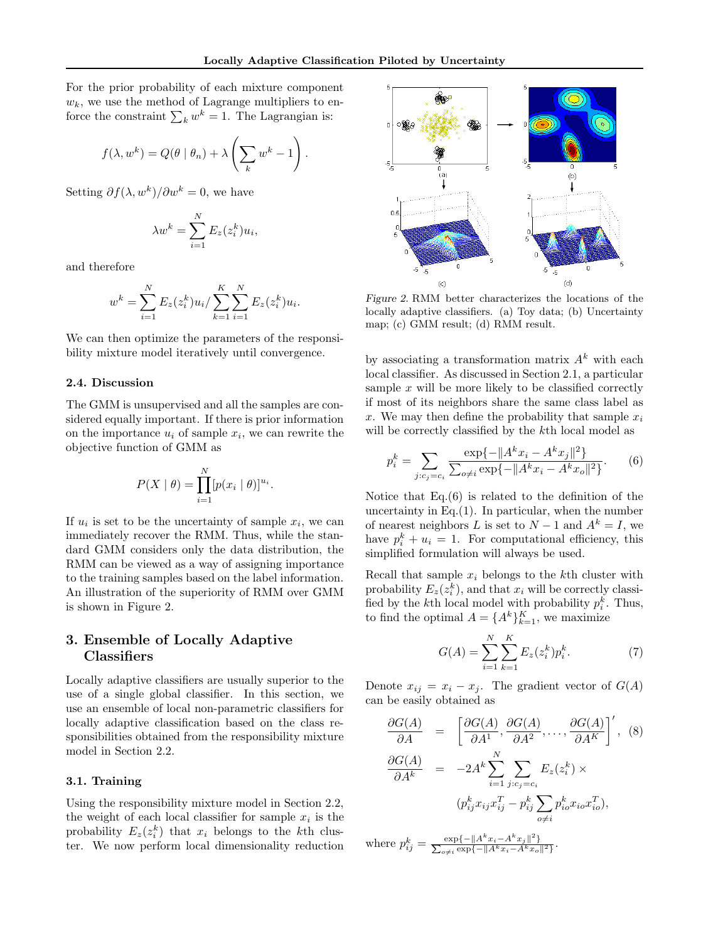For the prior probability of each mixture component  $w_k$ , we use the method of Lagrange multipliers to enforce the constraint  $\sum_k w^k = 1$ . The Lagrangian is:

$$
f(\lambda, w^k) = Q(\theta | \theta_n) + \lambda \left(\sum_k w^k - 1\right).
$$

Setting  $\partial f(\lambda, w^k) / \partial w^k = 0$ , we have

$$
\lambda w^k = \sum_{i=1}^N E_z(z_i^k) u_i,
$$

and therefore

$$
w^{k} = \sum_{i=1}^{N} E_{z}(z_{i}^{k})u_{i} / \sum_{k=1}^{K} \sum_{i=1}^{N} E_{z}(z_{i}^{k})u_{i}.
$$

We can then optimize the parameters of the responsibility mixture model iteratively until convergence.

#### 2.4. Discussion

The GMM is unsupervised and all the samples are considered equally important. If there is prior information on the importance  $u_i$  of sample  $x_i$ , we can rewrite the objective function of GMM as

$$
P(X | \theta) = \prod_{i=1}^{N} [p(x_i | \theta)]^{u_i}.
$$

If  $u_i$  is set to be the uncertainty of sample  $x_i$ , we can immediately recover the RMM. Thus, while the standard GMM considers only the data distribution, the RMM can be viewed as a way of assigning importance to the training samples based on the label information. An illustration of the superiority of RMM over GMM is shown in Figure 2.

# 3. Ensemble of Locally Adaptive **Classifiers**

Locally adaptive classifiers are usually superior to the use of a single global classifier. In this section, we use an ensemble of local non-parametric classifiers for locally adaptive classification based on the class responsibilities obtained from the responsibility mixture model in Section 2.2.

#### 3.1. Training

Using the responsibility mixture model in Section 2.2, the weight of each local classifier for sample  $x_i$  is the probability  $E_z(z_i^k)$  that  $x_i$  belongs to the kth cluster. We now perform local dimensionality reduction



Figure 2. RMM better characterizes the locations of the locally adaptive classifiers. (a) Toy data; (b) Uncertainty map; (c) GMM result; (d) RMM result.

by associating a transformation matrix  $A<sup>k</sup>$  with each local classifier. As discussed in Section 2.1, a particular sample  $x$  will be more likely to be classified correctly if most of its neighbors share the same class label as x. We may then define the probability that sample  $x_i$ will be correctly classified by the kth local model as

$$
p_i^k = \sum_{j:c_j = c_i} \frac{\exp\{-\|A^k x_i - A^k x_j\|^2\}}{\sum_{o \neq i} \exp\{-\|A^k x_i - A^k x_o\|^2\}}.
$$
 (6)

Notice that Eq.(6) is related to the definition of the uncertainty in Eq. $(1)$ . In particular, when the number of nearest neighbors L is set to  $N-1$  and  $A^k = I$ , we have  $p_i^k + u_i = 1$ . For computational efficiency, this simplified formulation will always be used.

Recall that sample  $x_i$  belongs to the kth cluster with probability  $E_z(z_i^k)$ , and that  $x_i$  will be correctly classified by the k<sup>th</sup> local model with probability  $p_i^k$ . Thus, to find the optimal  $A = \{A^k\}_{k=1}^K$ , we maximize

$$
G(A) = \sum_{i=1}^{N} \sum_{k=1}^{K} E_z(z_i^k) p_i^k.
$$
 (7)

Denote  $x_{ij} = x_i - x_j$ . The gradient vector of  $G(A)$ can be easily obtained as

$$
\frac{\partial G(A)}{\partial A} = \left[ \frac{\partial G(A)}{\partial A^1}, \frac{\partial G(A)}{\partial A^2}, \dots, \frac{\partial G(A)}{\partial A^K} \right]', (8)
$$

$$
\frac{\partial G(A)}{\partial A^k} = -2A^k \sum_{i=1}^N \sum_{j:c_j=c_i} E_z(z_i^k) \times
$$

$$
(p_{ij}^k x_{ij} x_{ij}^T - p_{ij}^k \sum_{o \neq i} p_{io}^k x_{io} x_{io}^T),
$$

where  $p_{ij}^k = \frac{\exp\{-\|A^k x_i - A^k x_j\|^2\}}{\sum_{z \neq i} \exp\{-\|A^k x_i - A^k x_j\|^2\}}$  $\frac{\exp\{-\|A\ x_i - A\ x_j\| \}}{\exp\{-\|A^k x_i - A^k x_o\|^2\}}.$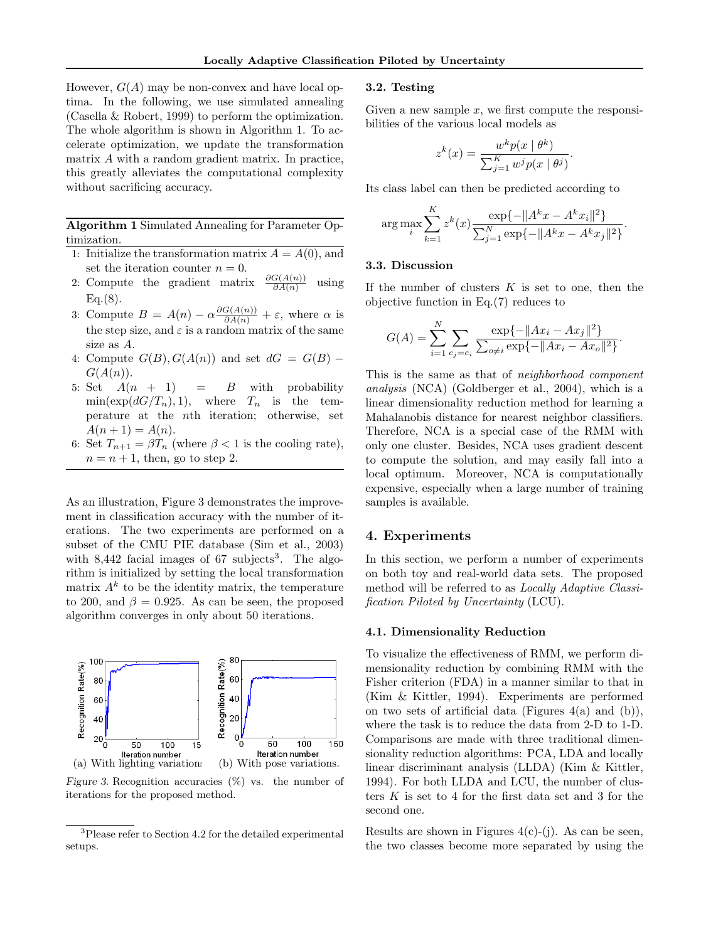However,  $G(A)$  may be non-convex and have local optima. In the following, we use simulated annealing (Casella & Robert, 1999) to perform the optimization. The whole algorithm is shown in Algorithm 1. To accelerate optimization, we update the transformation matrix A with a random gradient matrix. In practice, this greatly alleviates the computational complexity without sacrificing accuracy.

Algorithm 1 Simulated Annealing for Parameter Optimization.

- 1: Initialize the transformation matrix  $A = A(0)$ , and set the iteration counter  $n = 0$ .
- 2: Compute the gradient matrix  $\frac{\partial G(A(n))}{\partial A(n)}$ using  $Eq.(8)$ .
- 3: Compute  $B = A(n) \alpha \frac{\partial G(A(n))}{\partial A(n)} + \varepsilon$ , where  $\alpha$  is the step size, and  $\varepsilon$  is a random matrix of the same size as A.
- 4: Compute  $G(B), G(A(n))$  and set  $dG = G(B)$   $G(A(n)).$
- 5: Set  $A(n + 1) = B$  with probability  $\min(\exp(dG/T_n), 1),$  where  $T_n$  is the temperature at the nth iteration; otherwise, set  $A(n + 1) = A(n).$
- 6: Set  $T_{n+1} = \beta T_n$  (where  $\beta < 1$  is the cooling rate),  $n = n + 1$ , then, go to step 2.

As an illustration, Figure 3 demonstrates the improvement in classification accuracy with the number of iterations. The two experiments are performed on a subset of the CMU PIE database (Sim et al., 2003) with  $8,442$  facial images of 67 subjects<sup>3</sup>. The algorithm is initialized by setting the local transformation matrix  $A^k$  to be the identity matrix, the temperature to 200, and  $\beta = 0.925$ . As can be seen, the proposed algorithm converges in only about 50 iterations.



Figure 3. Recognition accuracies  $(\%)$  vs. the number of iterations for the proposed method.

#### 3.2. Testing

Given a new sample  $x$ , we first compute the responsibilities of the various local models as

$$
z^{k}(x) = \frac{w^{k}p(x | \theta^{k})}{\sum_{j=1}^{K} w^{j}p(x | \theta^{j})}.
$$

Its class label can then be predicted according to

$$
\arg \max_{i} \sum_{k=1}^{K} z^{k}(x) \frac{\exp\{-\|A^{k}x - A^{k}x_{i}\|^{2}\}}{\sum_{j=1}^{N} \exp\{-\|A^{k}x - A^{k}x_{j}\|^{2}\}}.
$$

#### 3.3. Discussion

If the number of clusters  $K$  is set to one, then the objective function in Eq.(7) reduces to

$$
G(A) = \sum_{i=1}^{N} \sum_{c_j = c_i} \frac{\exp\{-\|Ax_i - Ax_j\|^2\}}{\sum_{o \neq i} \exp\{-\|Ax_i - Ax_o\|^2\}}
$$

.

This is the same as that of neighborhood component analysis (NCA) (Goldberger et al., 2004), which is a linear dimensionality reduction method for learning a Mahalanobis distance for nearest neighbor classifiers. Therefore, NCA is a special case of the RMM with only one cluster. Besides, NCA uses gradient descent to compute the solution, and may easily fall into a local optimum. Moreover, NCA is computationally expensive, especially when a large number of training samples is available.

# 4. Experiments

In this section, we perform a number of experiments on both toy and real-world data sets. The proposed method will be referred to as Locally Adaptive Classification Piloted by Uncertainty (LCU).

#### 4.1. Dimensionality Reduction

To visualize the effectiveness of RMM, we perform dimensionality reduction by combining RMM with the Fisher criterion (FDA) in a manner similar to that in (Kim & Kittler, 1994). Experiments are performed on two sets of artificial data (Figures  $4(a)$  and  $(b)$ ), where the task is to reduce the data from 2-D to 1-D. Comparisons are made with three traditional dimensionality reduction algorithms: PCA, LDA and locally linear discriminant analysis (LLDA) (Kim & Kittler, 1994). For both LLDA and LCU, the number of clusters  $K$  is set to 4 for the first data set and 3 for the second one.

Results are shown in Figures  $4(c)$ -(j). As can be seen, the two classes become more separated by using the

<sup>3</sup>Please refer to Section 4.2 for the detailed experimental setups.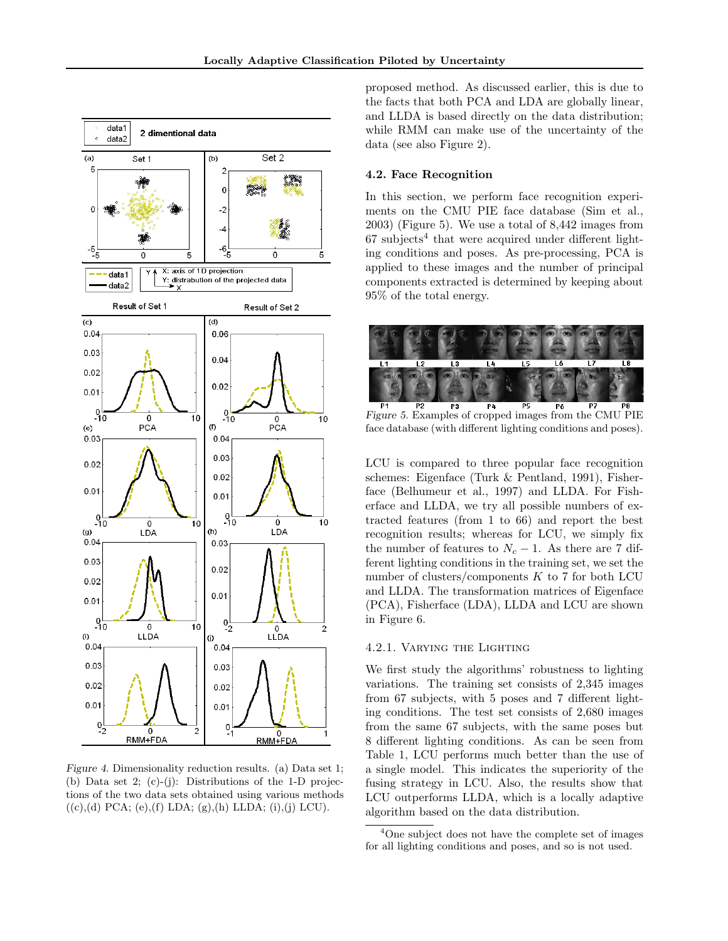

Figure 4. Dimensionality reduction results. (a) Data set 1; (b) Data set 2; (c)-(j): Distributions of the 1-D projections of the two data sets obtained using various methods  $((c),(d)$  PCA;  $(e),(f)$  LDA;  $(g),(h)$  LLDA;  $(i),(j)$  LCU).

proposed method. As discussed earlier, this is due to the facts that both PCA and LDA are globally linear, and LLDA is based directly on the data distribution; while RMM can make use of the uncertainty of the data (see also Figure 2).

#### 4.2. Face Recognition

In this section, we perform face recognition experiments on the CMU PIE face database (Sim et al., 2003) (Figure 5). We use a total of 8,442 images from  $67$  subjects<sup>4</sup> that were acquired under different lighting conditions and poses. As pre-processing, PCA is applied to these images and the number of principal components extracted is determined by keeping about 95% of the total energy.



Figure 5. Examples of cropped images from the CMU PIE face database (with different lighting conditions and poses).

LCU is compared to three popular face recognition schemes: Eigenface (Turk & Pentland, 1991), Fisherface (Belhumeur et al., 1997) and LLDA. For Fisherface and LLDA, we try all possible numbers of extracted features (from 1 to 66) and report the best recognition results; whereas for LCU, we simply fix the number of features to  $N_c - 1$ . As there are 7 different lighting conditions in the training set, we set the number of clusters/components  $K$  to 7 for both LCU and LLDA. The transformation matrices of Eigenface (PCA), Fisherface (LDA), LLDA and LCU are shown in Figure 6.

#### 4.2.1. Varying the Lighting

We first study the algorithms' robustness to lighting variations. The training set consists of 2,345 images from 67 subjects, with 5 poses and 7 different lighting conditions. The test set consists of 2,680 images from the same 67 subjects, with the same poses but 8 different lighting conditions. As can be seen from Table 1, LCU performs much better than the use of a single model. This indicates the superiority of the fusing strategy in LCU. Also, the results show that LCU outperforms LLDA, which is a locally adaptive algorithm based on the data distribution.

<sup>4</sup>One subject does not have the complete set of images for all lighting conditions and poses, and so is not used.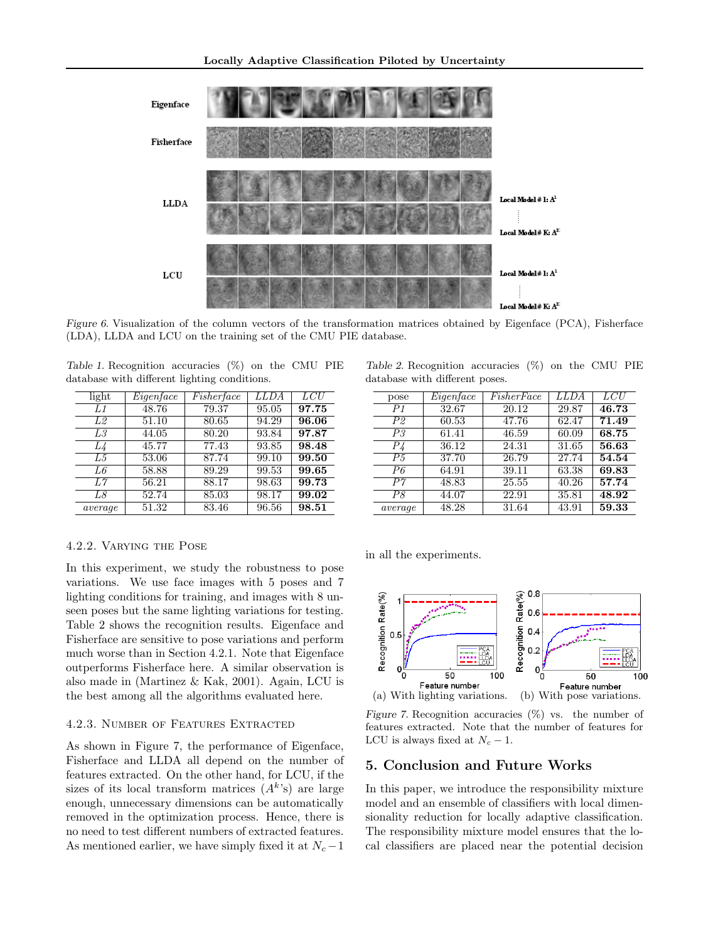

Figure 6. Visualization of the column vectors of the transformation matrices obtained by Eigenface (PCA), Fisherface (LDA), LLDA and LCU on the training set of the CMU PIE database.

| Table 1. Recognition accuracies $(\%)$ on the CMU PIE |  |  |  |
|-------------------------------------------------------|--|--|--|
| database with different lighting conditions.          |  |  |  |

| light   | Eigenface | Fisher face | <b>LLDA</b> | LCU                |
|---------|-----------|-------------|-------------|--------------------|
| L1      | 48.76     | 79.37       | 95.05       | 97.75              |
| L2      | 51.10     | 80.65       | 94.29       | 96.06              |
| L3      | 44.05     | 80.20       | 93.84       | 97.87              |
| L4      | 45.77     | 77.43       | 93.85       | 98.48              |
| L5      | 53.06     | 87.74       | 99.10       | 99.50              |
| L6      | 58.88     | 89.29       | 99.53       | $\overline{99.65}$ |
| L7      | 56.21     | 88.17       | 98.63       | 99.73              |
| L8      | 52.74     | 85.03       | 98.17       | 99.02              |
| average | 51.32     | 83.46       | 96.56       | 98.51              |

4.2.2. Varying the Pose

In this experiment, we study the robustness to pose variations. We use face images with 5 poses and 7 lighting conditions for training, and images with 8 unseen poses but the same lighting variations for testing. Table 2 shows the recognition results. Eigenface and Fisherface are sensitive to pose variations and perform much worse than in Section 4.2.1. Note that Eigenface outperforms Fisherface here. A similar observation is also made in (Martinez & Kak, 2001). Again, LCU is the best among all the algorithms evaluated here.

#### 4.2.3. Number of Features Extracted

As shown in Figure 7, the performance of Eigenface, Fisherface and LLDA all depend on the number of features extracted. On the other hand, for LCU, if the sizes of its local transform matrices  $(A<sup>k</sup>'s)$  are large enough, unnecessary dimensions can be automatically removed in the optimization process. Hence, there is no need to test different numbers of extracted features. As mentioned earlier, we have simply fixed it at  $N_c - 1$ 

Table 2. Recognition accuracies (%) on the CMU PIE database with different poses.

| pose           | Eigenface | FisherFace | LLDA  | LCU   |
|----------------|-----------|------------|-------|-------|
| P <sub>1</sub> | 32.67     | 20.12      | 29.87 | 46.73 |
| P2             | 60.53     | 47.76      | 62.47 | 71.49 |
| P <sub>3</sub> | 61.41     | 46.59      | 60.09 | 68.75 |
| $P\mathcal{L}$ | 36.12     | 24.31      | 31.65 | 56.63 |
| P <sub>5</sub> | 37.70     | 26.79      | 27.74 | 54.54 |
| P6             | 64.91     | 39.11      | 63.38 | 69.83 |
| $P\gamma$      | 48.83     | 25.55      | 40.26 | 57.74 |
| P8             | 44.07     | 22.91      | 35.81 | 48.92 |
| average        | 48.28     | 31.64      | 43.91 | 59.33 |
|                |           |            |       |       |

in all the experiments.



Figure 7. Recognition accuracies  $(\%)$  vs. the number of features extracted. Note that the number of features for LCU is always fixed at  $N_c - 1$ .

## 5. Conclusion and Future Works

In this paper, we introduce the responsibility mixture model and an ensemble of classifiers with local dimensionality reduction for locally adaptive classification. The responsibility mixture model ensures that the local classifiers are placed near the potential decision